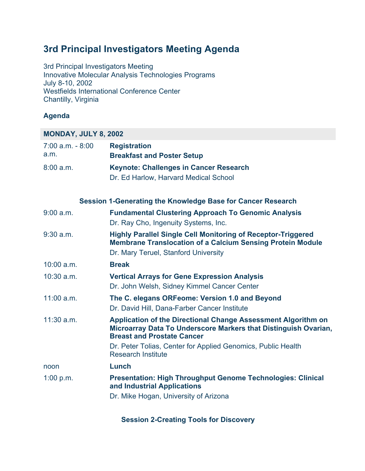# **3rd Principal Investigators Meeting Agenda**

3rd Principal Investigators Meeting Innovative Molecular Analysis Technologies Programs July 8-10, 2002 Westfields International Conference Center Chantilly, Virginia

## **Agenda**

## **MONDAY, JULY 8, 2002**

| $7:00$ a.m. $-8:00$<br>a.m. | <b>Registration</b><br><b>Breakfast and Poster Setup</b>                                                                                                                         |
|-----------------------------|----------------------------------------------------------------------------------------------------------------------------------------------------------------------------------|
| 8:00 a.m.                   | <b>Keynote: Challenges in Cancer Research</b>                                                                                                                                    |
|                             | Dr. Ed Harlow, Harvard Medical School                                                                                                                                            |
|                             | Session 1-Generating the Knowledge Base for Cancer Research                                                                                                                      |
| $9:00$ a.m.                 | <b>Fundamental Clustering Approach To Genomic Analysis</b><br>Dr. Ray Cho, Ingenuity Systems, Inc.                                                                               |
| $9:30$ a.m.                 | <b>Highly Parallel Single Cell Monitoring of Receptor-Triggered</b><br><b>Membrane Translocation of a Calcium Sensing Protein Module</b><br>Dr. Mary Teruel, Stanford University |
| $10:00$ a.m.                | <b>Break</b>                                                                                                                                                                     |
| $10:30$ a.m.                | <b>Vertical Arrays for Gene Expression Analysis</b>                                                                                                                              |
|                             | Dr. John Welsh, Sidney Kimmel Cancer Center                                                                                                                                      |
| 11:00 a.m.                  | The C. elegans ORFeome: Version 1.0 and Beyond<br>Dr. David Hill, Dana-Farber Cancer Institute                                                                                   |
| $11:30$ a.m.                | Application of the Directional Change Assessment Algorithm on<br>Microarray Data To Underscore Markers that Distinguish Ovarian,<br><b>Breast and Prostate Cancer</b>            |
|                             | Dr. Peter Tolias, Center for Applied Genomics, Public Health<br><b>Research Institute</b>                                                                                        |
| noon                        | Lunch                                                                                                                                                                            |
| 1:00 p.m.                   | <b>Presentation: High Throughput Genome Technologies: Clinical</b><br>and Industrial Applications                                                                                |
|                             | Dr. Mike Hogan, University of Arizona                                                                                                                                            |

**Session 2-Creating Tools for Discovery**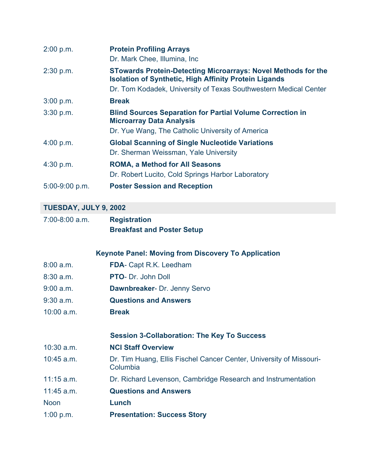| 2:00 p.m.        | <b>Protein Profiling Arrays</b><br>Dr. Mark Chee, Illumina, Inc.                                                                                                                                         |
|------------------|----------------------------------------------------------------------------------------------------------------------------------------------------------------------------------------------------------|
| 2:30 p.m.        | <b>STowards Protein-Detecting Microarrays: Novel Methods for the</b><br><b>Isolation of Synthetic, High Affinity Protein Ligands</b><br>Dr. Tom Kodadek, University of Texas Southwestern Medical Center |
| 3:00 p.m.        | <b>Break</b>                                                                                                                                                                                             |
| 3:30 p.m.        | <b>Blind Sources Separation for Partial Volume Correction in</b><br><b>Microarray Data Analysis</b><br>Dr. Yue Wang, The Catholic University of America                                                  |
| 4:00 p.m.        | <b>Global Scanning of Single Nucleotide Variations</b><br>Dr. Sherman Weissman, Yale University                                                                                                          |
| 4:30 p.m.        | <b>ROMA, a Method for All Seasons</b><br>Dr. Robert Lucito, Cold Springs Harbor Laboratory                                                                                                               |
| $5:00-9:00$ p.m. | <b>Poster Session and Reception</b>                                                                                                                                                                      |

### **TUESDAY, JULY 9, 2002**

| $7:00-8:00$ a.m. | <b>Registration</b>               |
|------------------|-----------------------------------|
|                  | <b>Breakfast and Poster Setup</b> |

**Keynote Panel: Moving from Discovery To Application**

- 8:00 a.m. **FDA** Capt R.K. Leedham
- 8:30 a.m. **PTO** Dr. John Doll
- 9:00 a.m. **Dawnbreaker** Dr. Jenny Servo
- 9:30 a.m. **Questions and Answers**
- 10:00 a.m. **Break**

#### **Session 3-Collaboration: The Key To Success**

10:30 a.m. **NCI Staff Overview**

- 10:45 a.m. Dr. Tim Huang, Ellis Fischel Cancer Center, University of Missouri-Columbia
- 11:15 a.m. Dr. Richard Levenson, Cambridge Research and Instrumentation
- 11:45 a.m. **Questions and Answers**

Noon **Lunch**

1:00 p.m. **Presentation: Success Story**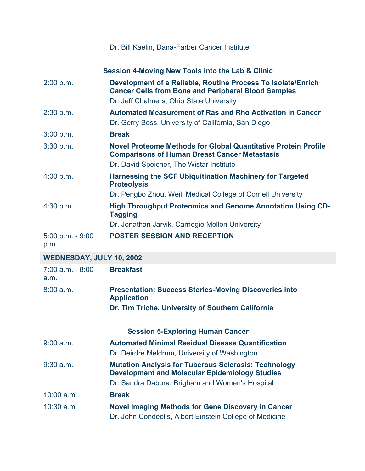|                                 | <b>Session 4-Moving New Tools into the Lab &amp; Clinic</b>                                                                                                             |
|---------------------------------|-------------------------------------------------------------------------------------------------------------------------------------------------------------------------|
| 2:00 p.m.                       | Development of a Reliable, Routine Process To Isolate/Enrich<br><b>Cancer Cells from Bone and Peripheral Blood Samples</b><br>Dr. Jeff Chalmers, Ohio State University  |
| 2:30 p.m.                       | <b>Automated Measurement of Ras and Rho Activation in Cancer</b><br>Dr. Gerry Boss, University of California, San Diego                                                 |
| 3:00 p.m.                       | <b>Break</b>                                                                                                                                                            |
| 3:30 p.m.                       | Novel Proteome Methods for Global Quantitative Protein Profile<br><b>Comparisons of Human Breast Cancer Metastasis</b><br>Dr. David Speicher, The Wistar Institute      |
| 4:00 p.m.                       | <b>Harnessing the SCF Ubiquitination Machinery for Targeted</b><br><b>Proteolysis</b>                                                                                   |
|                                 | Dr. Pengbo Zhou, Weill Medical College of Cornell University                                                                                                            |
| 4:30 p.m.                       | <b>High Throughput Proteomics and Genome Annotation Using CD-</b><br><b>Tagging</b>                                                                                     |
|                                 | Dr. Jonathan Jarvik, Carnegie Mellon University                                                                                                                         |
| $5:00$ p.m. - $9:00$<br>p.m.    | <b>POSTER SESSION AND RECEPTION</b>                                                                                                                                     |
| <b>WEDNESDAY, JULY 10, 2002</b> |                                                                                                                                                                         |
| $7:00$ a.m. $-8:00$<br>a.m.     | <b>Breakfast</b>                                                                                                                                                        |
| 8:00 a.m.                       | <b>Presentation: Success Stories-Moving Discoveries into</b><br><b>Application</b>                                                                                      |
|                                 | Dr. Tim Triche, University of Southern California                                                                                                                       |
|                                 | <b>Session 5-Exploring Human Cancer</b>                                                                                                                                 |
| 9:00 a.m.                       | <b>Automated Minimal Residual Disease Quantification</b><br>Dr. Deirdre Meldrum, University of Washington                                                               |
| $9:30$ a.m.                     | <b>Mutation Analysis for Tuberous Sclerosis: Technology</b><br><b>Development and Molecular Epidemiology Studies</b><br>Dr. Sandra Dabora, Brigham and Women's Hospital |
| $10:00$ a.m.                    | <b>Break</b>                                                                                                                                                            |
| 10:30 a.m.                      | <b>Novel Imaging Methods for Gene Discovery in Cancer</b><br>Dr. John Condeelis, Albert Einstein College of Medicine                                                    |